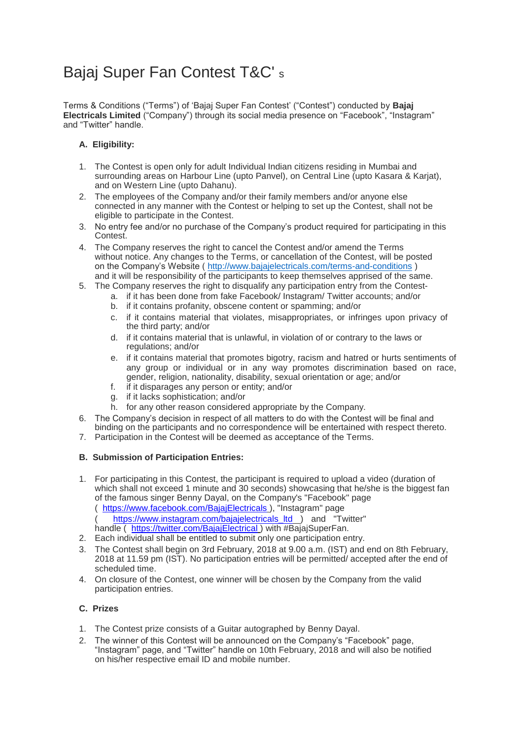# Bajaj Super Fan Contest T&C' <sup>s</sup>

Terms & Conditions ("Terms") of 'Bajaj Super Fan Contest' ("Contest") conducted by **Bajaj Electricals Limited** ("Company") through its social media presence on "Facebook", "Instagram" and "Twitter" handle.

# **A. Eligibility:**

- 1. The Contest is open only for adult Individual Indian citizens residing in Mumbai and surrounding areas on Harbour Line (upto Panvel), on Central Line (upto Kasara & Karjat), and on Western Line (upto Dahanu).
- 2. The employees of the Company and/or their family members and/or anyone else connected in any manner with the Contest or helping to set up the Contest, shall not be eligible to participate in the Contest.
- 3. No entry fee and/or no purchase of the Company's product required for participating in this **Contest**
- 4. The Company reserves the right to cancel the Contest and/or amend the Terms without notice. Any changes to the Terms, or cancellation of the Contest, will be posted on the Company's Website (<http://www.bajajelectricals.com/terms-and-conditions> ) and it will be responsibility of the participants to keep themselves apprised of the same.
- 5. The Company reserves the right to disqualify any participation entry from the Contest
	- a. if it has been done from fake Facebook/ Instagram/ Twitter accounts; and/or
	- b. if it contains profanity, obscene content or spamming; and/or
	- c. if it contains material that violates, misappropriates, or infringes upon privacy of the third party; and/or
	- d. if it contains material that is unlawful, in violation of or contrary to the laws or regulations; and/or
	- e. if it contains material that promotes bigotry, racism and hatred or hurts sentiments of any group or individual or in any way promotes discrimination based on race, gender, religion, nationality, disability, sexual orientation or age; and/or
	- f. if it disparages any person or entity; and/or
	- g. if it lacks sophistication; and/or
	- h. for any other reason considered appropriate by the Company.
- 6. The Company's decision in respect of all matters to do with the Contest will be final and binding on the participants and no correspondence will be entertained with respect thereto.
- 7. Participation in the Contest will be deemed as acceptance of the Terms.

# **B. Submission of Participation Entries:**

- 1. For participating in this Contest, the participant is required to upload a video (duration of which shall not exceed 1 minute and 30 seconds) showcasing that he/she is the biggest fan of the famous singer Benny Dayal, on the Company's "Facebook" page (<https://www.facebook.com/BajajElectricals> ), "Instagram" page ( [https://www.instagram.com/bajajelectricals\\_ltd](https://www.instagram.com/bajajelectricals_ltd) ) and "Twitter" handle (<https://twitter.com/BajajElectrical> ) with #BajajSuperFan.
- 2. Each individual shall be entitled to submit only one participation entry.
- 3. The Contest shall begin on 3rd February, 2018 at 9.00 a.m. (IST) and end on 8th February, 2018 at 11.59 pm (IST). No participation entries will be permitted/ accepted after the end of scheduled time.
- 4. On closure of the Contest, one winner will be chosen by the Company from the valid participation entries.

## **C. Prizes**

- 1. The Contest prize consists of a Guitar autographed by Benny Dayal.
- 2. The winner of this Contest will be announced on the Company's "Facebook" page, "Instagram" page, and "Twitter" handle on 10th February, 2018 and will also be notified on his/her respective email ID and mobile number.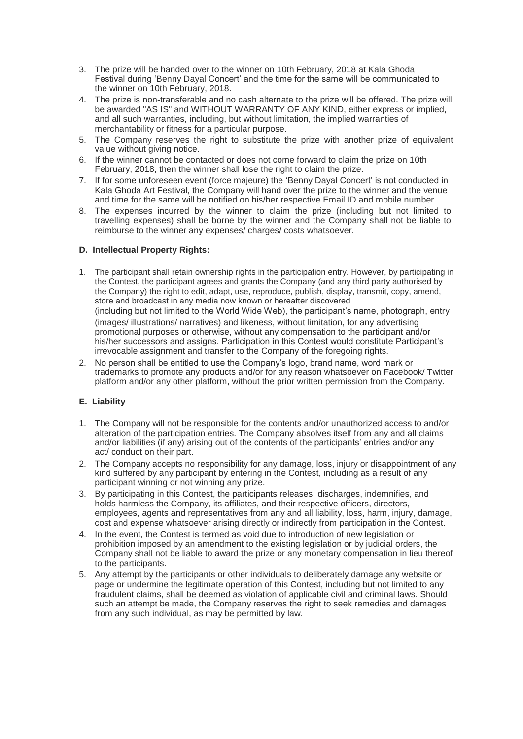- 3. The prize will be handed over to the winner on 10th February, 2018 at Kala Ghoda Festival during 'Benny Dayal Concert' and the time for the same will be communicated to the winner on 10th February, 2018.
- 4. The prize is non-transferable and no cash alternate to the prize will be offered. The prize will be awarded "AS IS" and WITHOUT WARRANTY OF ANY KIND, either express or implied, and all such warranties, including, but without limitation, the implied warranties of merchantability or fitness for a particular purpose.
- 5. The Company reserves the right to substitute the prize with another prize of equivalent value without giving notice.
- 6. If the winner cannot be contacted or does not come forward to claim the prize on 10th February, 2018, then the winner shall lose the right to claim the prize.
- 7. If for some unforeseen event (force majeure) the 'Benny Dayal Concert' is not conducted in Kala Ghoda Art Festival, the Company will hand over the prize to the winner and the venue and time for the same will be notified on his/her respective Email ID and mobile number.
- 8. The expenses incurred by the winner to claim the prize (including but not limited to travelling expenses) shall be borne by the winner and the Company shall not be liable to reimburse to the winner any expenses/ charges/ costs whatsoever.

#### **D. Intellectual Property Rights:**

- 1. The participant shall retain ownership rights in the participation entry. However, by participating in the Contest, the participant agrees and grants the Company (and any third party authorised by the Company) the right to edit, adapt, use, reproduce, publish, display, transmit, copy, amend, store and broadcast in any media now known or hereafter discovered (including but not limited to the World Wide Web), the participant's name, photograph, entry (images/ illustrations/ narratives) and likeness, without limitation, for any advertising promotional purposes or otherwise, without any compensation to the participant and/or his/her successors and assigns. Participation in this Contest would constitute Participant's irrevocable assignment and transfer to the Company of the foregoing rights.
- 2. No person shall be entitled to use the Company's logo, brand name, word mark or trademarks to promote any products and/or for any reason whatsoever on Facebook/ Twitter platform and/or any other platform, without the prior written permission from the Company.

## **E. Liability**

- 1. The Company will not be responsible for the contents and/or unauthorized access to and/or alteration of the participation entries. The Company absolves itself from any and all claims and/or liabilities (if any) arising out of the contents of the participants' entries and/or any act/ conduct on their part.
- 2. The Company accepts no responsibility for any damage, loss, injury or disappointment of any kind suffered by any participant by entering in the Contest, including as a result of any participant winning or not winning any prize.
- 3. By participating in this Contest, the participants releases, discharges, indemnifies, and holds harmless the Company, its affiliates, and their respective officers, directors, employees, agents and representatives from any and all liability, loss, harm, injury, damage, cost and expense whatsoever arising directly or indirectly from participation in the Contest.
- 4. In the event, the Contest is termed as void due to introduction of new legislation or prohibition imposed by an amendment to the existing legislation or by judicial orders, the Company shall not be liable to award the prize or any monetary compensation in lieu thereof to the participants.
- 5. Any attempt by the participants or other individuals to deliberately damage any website or page or undermine the legitimate operation of this Contest, including but not limited to any fraudulent claims, shall be deemed as violation of applicable civil and criminal laws. Should such an attempt be made, the Company reserves the right to seek remedies and damages from any such individual, as may be permitted by law.